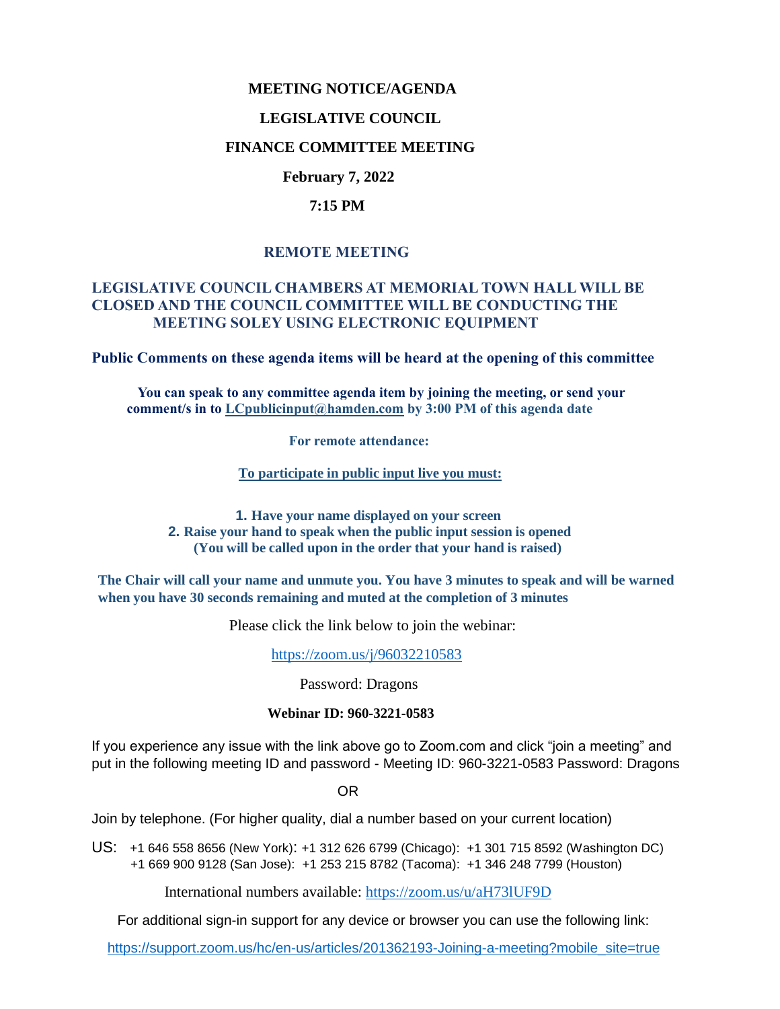### **MEETING NOTICE/AGENDA**

#### **LEGISLATIVE COUNCIL**

### **FINANCE COMMITTEE MEETING**

### **February 7, 2022**

#### **7:15 PM**

### **REMOTE MEETING**

### **LEGISLATIVE COUNCIL CHAMBERS AT MEMORIAL TOWN HALL WILL BE CLOSED AND THE COUNCIL COMMITTEE WILL BE CONDUCTING THE MEETING SOLEY USING ELECTRONIC EQUIPMENT**

**Public Comments on these agenda items will be heard at the opening of this committee** 

 **You can speak to any committee agenda item by joining the meeting, or send your comment/s in to [LCpublicinput@hamden.com](mailto:LCpublicinput@hamden.com) by 3:00 PM of this agenda date**

 **For remote attendance:**

**To participate in public input live you must:**

**1. Have your name displayed on your screen 2. Raise your hand to speak when the public input session is opened (You will be called upon in the order that your hand is raised)**

**The Chair will call your name and unmute you. You have 3 minutes to speak and will be warned when you have 30 seconds remaining and muted at the completion of 3 minutes**

Please click the link below to join the webinar:

<https://zoom.us/j/96032210583>

Password: Dragons

#### **Webinar ID: 960-3221-0583**

If you experience any issue with the link above go to Zoom.com and click "join a meeting" and put in the following meeting ID and password - Meeting ID: 960-3221-0583 Password: Dragons

OR

Join by telephone. (For higher quality, dial a number based on your current location)

US: [+1 646 558 8656 \(New York\)](tel:+16465588656): [+1 312 626 6799 \(Chicago\):](tel:+13126266799) [+1 301 715 8592 \(Washington DC\)](tel:+13017158592) +1 669 900 9128 (San Jose): [+1 253 215 8782 \(Tacoma\):](tel:+12532158782) [+1 346 248 7799 \(Houston\)](tel:+13462487799)

International numbers available:<https://zoom.us/u/aH73lUF9D>

For additional sign-in support for any device or browser you can use the following link:

[https://support.zoom.us/hc/en-us/articles/201362193-Joining-a-meeting?mobile\\_site=true](https://support.zoom.us/hc/en-us/articles/201362193-Joining-a-meeting?mobile_site=true)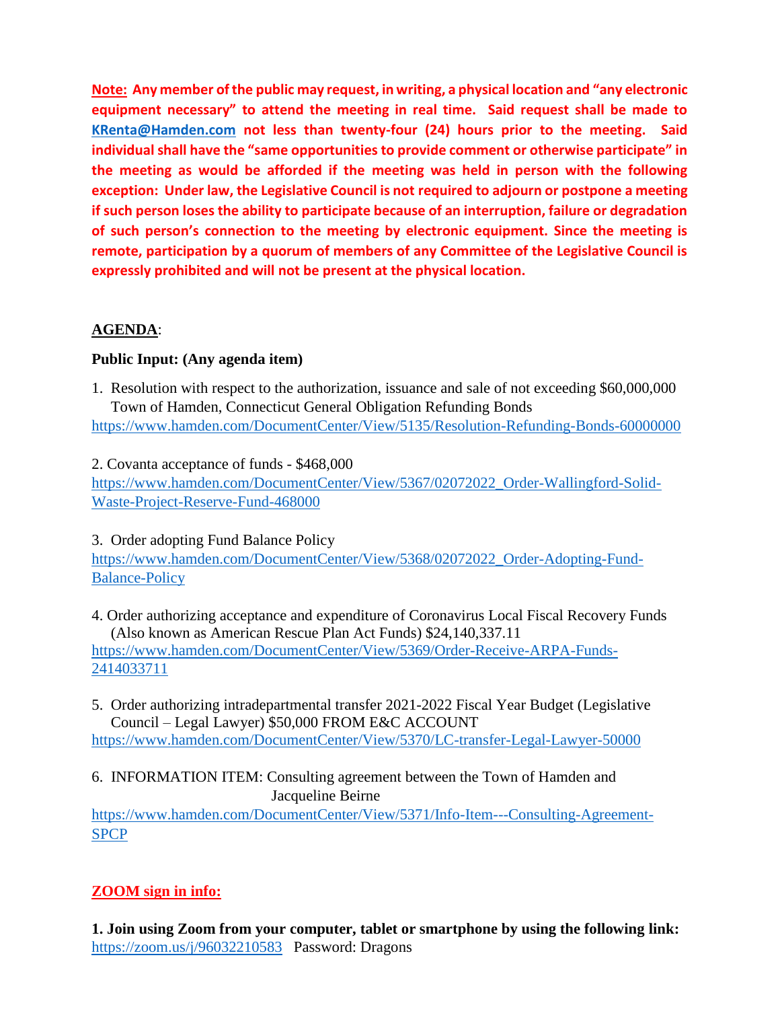**Note: Any member of the public may request, in writing, a physical location and "any electronic equipment necessary" to attend the meeting in real time. Said request shall be made to [KRenta@Hamden.com](mailto:KRenta@Hamden.com) not less than twenty-four (24) hours prior to the meeting. Said individual shall have the "same opportunities to provide comment or otherwise participate" in the meeting as would be afforded if the meeting was held in person with the following exception: Under law, the Legislative Council is not required to adjourn or postpone a meeting if such person loses the ability to participate because of an interruption, failure or degradation of such person's connection to the meeting by electronic equipment. Since the meeting is remote, participation by a quorum of members of any Committee of the Legislative Council is expressly prohibited and will not be present at the physical location.**

# **AGENDA**:

## **Public Input: (Any agenda item)**

- 1. Resolution with respect to the authorization, issuance and sale of not exceeding \$60,000,000 Town of Hamden, Connecticut General Obligation Refunding Bonds <https://www.hamden.com/DocumentCenter/View/5135/Resolution-Refunding-Bonds-60000000>
- 2. Covanta acceptance of funds \$468,000

[https://www.hamden.com/DocumentCenter/View/5367/02072022\\_Order-Wallingford-Solid-](https://www.hamden.com/DocumentCenter/View/5367/02072022_Order-Wallingford-Solid-Waste-Project-Reserve-Fund-468000)[Waste-Project-Reserve-Fund-468000](https://www.hamden.com/DocumentCenter/View/5367/02072022_Order-Wallingford-Solid-Waste-Project-Reserve-Fund-468000)

3. Order adopting Fund Balance Policy

[https://www.hamden.com/DocumentCenter/View/5368/02072022\\_Order-Adopting-Fund-](https://www.hamden.com/DocumentCenter/View/5368/02072022_Order-Adopting-Fund-Balance-Policy)[Balance-Policy](https://www.hamden.com/DocumentCenter/View/5368/02072022_Order-Adopting-Fund-Balance-Policy)

4. Order authorizing acceptance and expenditure of Coronavirus Local Fiscal Recovery Funds (Also known as American Rescue Plan Act Funds) \$24,140,337.11 [https://www.hamden.com/DocumentCenter/View/5369/Order-Receive-ARPA-Funds-](https://www.hamden.com/DocumentCenter/View/5369/Order-Receive-ARPA-Funds-2414033711)[2414033711](https://www.hamden.com/DocumentCenter/View/5369/Order-Receive-ARPA-Funds-2414033711)

5. Order authorizing intradepartmental transfer 2021-2022 Fiscal Year Budget (Legislative Council – Legal Lawyer) \$50,000 FROM E&C ACCOUNT

<https://www.hamden.com/DocumentCenter/View/5370/LC-transfer-Legal-Lawyer-50000>

6. INFORMATION ITEM: Consulting agreement between the Town of Hamden and Jacqueline Beirne

[https://www.hamden.com/DocumentCenter/View/5371/Info-Item---Consulting-Agreement-](https://www.hamden.com/DocumentCenter/View/5371/Info-Item---Consulting-Agreement-SPCP)[SPCP](https://www.hamden.com/DocumentCenter/View/5371/Info-Item---Consulting-Agreement-SPCP)

# **ZOOM sign in info:**

**1. Join using Zoom from your computer, tablet or smartphone by using the following link:** <https://zoom.us/j/96032210583>Password: Dragons